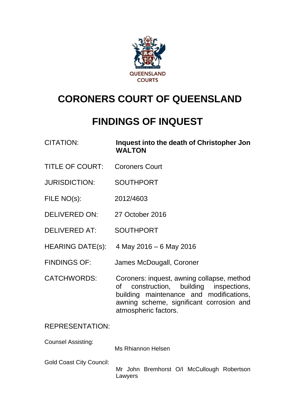

# **CORONERS COURT OF QUEENSLAND**

# **FINDINGS OF INQUEST**

| <b>CITATION:</b> | Inquest into the death of Christopher Jon |
|------------------|-------------------------------------------|
|                  | <b>WALTON</b>                             |

- TITLE OF COURT: Coroners Court
- JURISDICTION: SOUTHPORT
- FILE NO(s): 2012/4603
- DELIVERED ON: 27 October 2016
- DELIVERED AT: SOUTHPORT
- HEARING DATE(s): 4 May 2016 6 May 2016
- FINDINGS OF: James McDougall, Coroner
- CATCHWORDS: Coroners: inquest, awning collapse, method of construction, building inspections, building maintenance and modifications, awning scheme, significant corrosion and atmospheric factors.

# REPRESENTATION:

Counsel Assisting:

Ms Rhiannon Helsen

Gold Coast City Council:

Mr John Bremhorst O/I McCullough Robertson Lawyers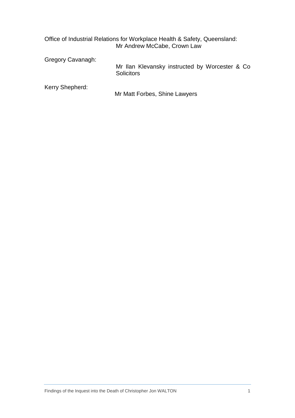|                   | Office of Industrial Relations for Workplace Health & Safety, Queensland:<br>Mr Andrew McCabe, Crown Law |
|-------------------|----------------------------------------------------------------------------------------------------------|
| Gregory Cavanagh: | Mr Ilan Klevansky instructed by Worcester & Co.<br><b>Solicitors</b>                                     |
| Kerry Shepherd:   | Mr Matt Forbes, Shine Lawyers                                                                            |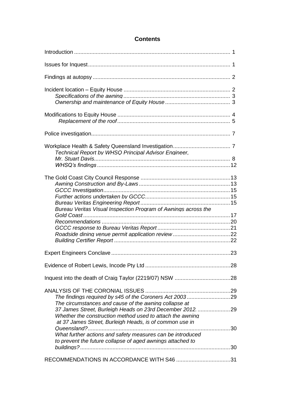# **Contents**

| Technical Report by WHSQ Principal Advisor Engineer,                                                                 |  |
|----------------------------------------------------------------------------------------------------------------------|--|
|                                                                                                                      |  |
|                                                                                                                      |  |
| Bureau Veritas Visual Inspection Program of Awnings across the                                                       |  |
|                                                                                                                      |  |
|                                                                                                                      |  |
|                                                                                                                      |  |
|                                                                                                                      |  |
|                                                                                                                      |  |
|                                                                                                                      |  |
|                                                                                                                      |  |
| The findings required by s45 of the Coroners Act 200329                                                              |  |
| The circumstances and cause of the awning collapse at                                                                |  |
| 37 James Street, Burleigh Heads on 23rd December 2012. 29                                                            |  |
| Whether the construction method used to attach the awning<br>at 37 James Street, Burleigh Heads, is of common use in |  |
|                                                                                                                      |  |
| What further actions and safety measures can be introduced                                                           |  |
| to prevent the future collapse of aged awnings attached to                                                           |  |
| RECOMMENDATIONS IN ACCORDANCE WITH S46 31                                                                            |  |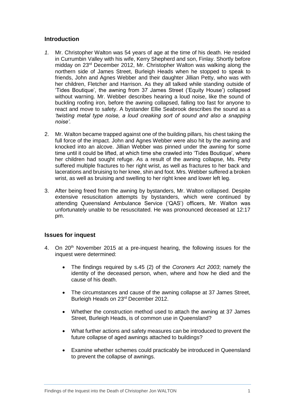## <span id="page-3-0"></span>**Introduction**

- *1.* Mr. Christopher Walton was 54 years of age at the time of his death. He resided in Currumbin Valley with his wife, Kerry Shepherd and son, Finlay. Shortly before midday on 23rd December 2012, Mr. Christopher Walton was walking along the northern side of James Street, Burleigh Heads when he stopped to speak to friends, John and Agnes Webber and their daughter Jillian Petty, who was with her children, Fletcher and Harrison. As they all talked while standing outside of 'Tides Boutique', the awning from 37 James Street ('Equity House') collapsed without warning. Mr. Webber describes hearing a loud noise, like the sound of buckling roofing iron, before the awning collapsed, falling too fast for anyone to react and move to safety. A bystander Ellie Seabrook describes the sound as a *'twisting metal type noise, a loud creaking sort of sound and also a snapping noise'.*
- 2. Mr. Walton became trapped against one of the building pillars, his chest taking the full force of the impact. John and Agnes Webber were also hit by the awning and knocked into an alcove. Jillian Webber was pinned under the awning for some time until it could be lifted, at which time she crawled into 'Tides Boutique', where her children had sought refuge. As a result of the awning collapse, Ms. Petty suffered multiple fractures to her right wrist, as well as fractures to her back and lacerations and bruising to her knee, shin and foot. Mrs. Webber suffered a broken wrist, as well as bruising and swelling to her right knee and lower left leg.
- 3. After being freed from the awning by bystanders, Mr. Walton collapsed. Despite extensive resuscitation attempts by bystanders, which were continued by attending Queensland Ambulance Service ('QAS') officers, Mr. Walton was unfortunately unable to be resuscitated. He was pronounced deceased at 12:17 pm.

#### <span id="page-3-1"></span>**Issues for inquest**

- 4. On 20<sup>th</sup> November 2015 at a pre-inquest hearing, the following issues for the inquest were determined:
	- The findings required by s.45 (2) of the *Coroners Act 2003*; namely the identity of the deceased person, when, where and how he died and the cause of his death.
	- The circumstances and cause of the awning collapse at 37 James Street, Burleigh Heads on 23rd December 2012.
	- Whether the construction method used to attach the awning at 37 James Street, Burleigh Heads, is of common use in Queensland?
	- What further actions and safety measures can be introduced to prevent the future collapse of aged awnings attached to buildings?
	- Examine whether schemes could practicably be introduced in Queensland to prevent the collapse of awnings.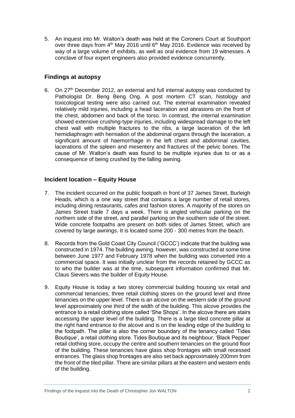5. An inquest into Mr. Walton's death was held at the Coroners Court at Southport over three days from 4<sup>th</sup> May 2016 until 6<sup>th</sup> May 2016. Evidence was received by way of a large volume of exhibits, as well as oral evidence from 19 witnesses. A conclave of four expert engineers also provided evidence concurrently.

# <span id="page-4-0"></span>**Findings at autopsy**

6. On 27th December 2012, an external and full internal autopsy was conducted by Pathologist Dr. Beng Beng Ong. A post mortem CT scan, histology and toxicological testing were also carried out. The external examination revealed relatively mild injuries, including a head laceration and abrasions on the front of the chest, abdomen and back of the torso. In contrast, the internal examination showed extensive crushing-type injuries, including widespread damage to the left chest wall with multiple fractures to the ribs, a large laceration of the left hemidiaphragm with herniation of the abdominal organs through the laceration, a significant amount of haemorrhage in the left chest and abdominal cavities, lacerations of the spleen and mesentery and fractures of the pelvic bones. The cause of Mr. Walton's death was found to be multiple injuries due to or as a consequence of being crushed by the falling awning.

# <span id="page-4-1"></span>**Incident location – Equity House**

- 7. The incident occurred on the public footpath in front of 37 James Street, Burleigh Heads, which is a one way street that contains a large number of retail stores, including dining restaurants, cafes and fashion stores. A majority of the stores on James Street trade 7 days a week. There is angled vehicular parking on the northern side of the street, and parallel parking on the southern side of the street. Wide concrete footpaths are present on both sides of James Street, which are covered by large awnings. It is located some 200 - 300 metres from the beach.
- 8. Records from the Gold Coast City Council ('GCCC') indicate that the building was constructed in 1974. The building awning, however, was constructed at some time between June 1977 and February 1978 when the building was converted into a commercial space. It was initially unclear from the records retained by GCCC as to who the builder was at the time, subsequent information confirmed that Mr. Claus Sievers was the builder of Equity House.
- 9. Equity House is today a two storey commercial building housing six retail and commercial tenancies; three retail clothing stores on the ground level and three tenancies on the upper level. There is an alcove on the western side of the ground level approximately one third of the width of the building. This alcove provides the entrance to a retail clothing store called 'She Shops'. In the alcove there are stairs accessing the upper level of the building. There is a large tiled concrete pillar at the right hand entrance to the alcove and is on the leading edge of the building to the footpath. The pillar is also the corner boundary of the tenancy called 'Tides Boutique', a retail clothing store. Tides Boutique and its neighbour, 'Black Pepper' retail clothing store, occupy the centre and southern tenancies on the ground floor of the building. These tenancies have glass shop frontages with small recessed entrances. The glass shop frontages are also set back approximately 200mm from the front of the tiled pillar. There are similar pillars at the eastern and western ends of the building.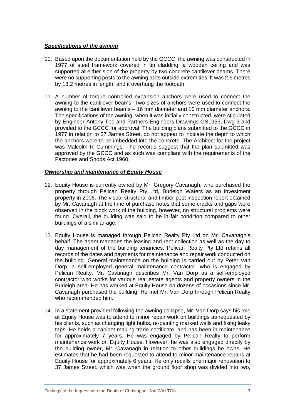#### <span id="page-5-0"></span>*Specifications of the awning*

- 10. Based upon the documentation held by the GCCC, the awning was constructed in 1977 of steel framework covered in tin cladding, a wooden ceiling and was supported at either side of the property by two concrete cantilever beams. There were no supporting posts to the awning at its outside extremities. It was 2.6 metres by 13.2 metres in length, and it overhung the footpath.
- 11. A number of torque controlled expansion anchors were used to connect the awning to the cantilever beams. Two sizes of anchors were used to connect the awning to the cantilever beams – 16 mm diameter and 10 mm diameter anchors. The specifications of the awning, when it was initially constructed, were stipulated by Engineer Antony Tod and Partners Engineers Drawings GS1953, Dwg 3 and provided to the GCCC for approval. The building plans submitted to the GCCC in 1977 in relation to 37 James Street, do not appear to indicate the depth to which the anchors were to be imbedded into the concrete. The Architect for the project was Malcolm R Cummings. The records suggest that the plan submitted was approved by the GCCC and as such was compliant with the requirements of the Factories and Shops Act 1960.

#### <span id="page-5-1"></span>*Ownership and maintenance of Equity House*

- 12. Equity House is currently owned by Mr. Gregory Cavanagh, who purchased the property through Pelican Realty Pty Ltd, Burleigh Waters as an investment property in 2006. The visual structural and timber pest inspection report obtained by Mr. Cavanagh at the time of purchase notes that some cracks and gaps were observed in the block work of the building, however, no structural problems were found. Overall, the building was said to be in fair condition compared to other buildings of a similar age.
- 13. Equity House is managed through Pelican Realty Pty Ltd on Mr. Cavanagh's behalf. The agent manages the leasing and rent collection as well as the day to day management of the building tenancies. Pelican Realty Pty Ltd retains all records of the dates and payments for maintenance and repair work conducted on the building. General maintenance on the building is carried out by Peter Van Dorp, a self-employed general maintenance contractor, who is engaged by Pelican Realty. Mr. Cavanagh describes Mr. Van Dorp as a self-employed contractor who works for various real estate agents and property owners in the Burleigh area. He has worked at Equity House on dozens of occasions since Mr. Cavanagh purchased the building. He met Mr. Van Dorp through Pelican Realty who recommended him.
- 14. In a statement provided following the awning collapse, Mr. Van Dorp says his role at Equity House was to attend to minor repair work on buildings as requested by his clients, such as changing light bulbs, re-painting marked walls and fixing leaky taps. He holds a cabinet making trade certificate, and has been in maintenance for approximately 7 years. He was engaged by Pelican Realty to perform maintenance work on Equity House. However, he was also engaged directly by the building owner, Mr. Cavanagh in relation to other buildings he owns. He estimates that he had been requested to attend to minor maintenance repairs at Equity House for approximately 6 years. He only recalls one major renovation to 37 James Street, which was when the ground floor shop was divided into two,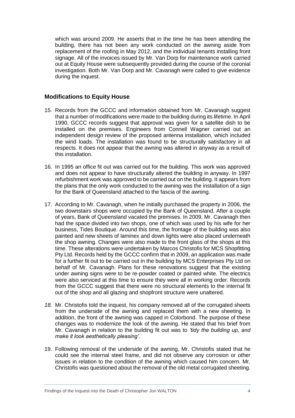which was around 2009. He asserts that in the time he has been attending the building, there has not been any work conducted on the awning aside from replacement of the roofing in May 2012, and the individual tenants installing front signage. All of the invoices issued by Mr. Van Dorp for maintenance work carried out at Equity House were subsequently provided during the course of the coronial investigation. Both Mr. Van Dorp and Mr. Cavanagh were called to give evidence during the inquest.

## <span id="page-6-0"></span>**Modifications to Equity House**

- 15. Records from the GCCC and information obtained from Mr. Cavanagh suggest that a number of modifications were made to the building during its lifetime. In April 1990, GCCC records suggest that approval was given for a satellite dish to be installed on the premises. Engineers from Connell Wagner carried out an independent design review of the proposed antenna installation, which included the wind loads. The installation was found to be structurally satisfactory in all respects. It does not appear that the awning was altered in anyway as a result of this installation.
- 16. In 1995 an office fit out was carried out for the building. This work was approved and does not appear to have structurally altered the building in anyway. In 1997 refurbishment work was approved to be carried out on the building. It appears from the plans that the only work conducted to the awning was the installation of a sign for the Bank of Queensland attached to the fascia of the awning.
- 17. According to Mr. Cavanagh, when he initially purchased the property in 2006, the two downstairs shops were occupied by the Bank of Queensland. After a couple of years, Bank of Queensland vacated the premises. In 2009, Mr. Cavanagh then had the space divided into two shops, one of which was used by his wife for her business, Tides Boutique. Around this time, the frontage of the building was also painted and new sheets of laminex and down lights were also placed underneath the shop awning. Changes were also made to the front glass of the shops at this time. These alterations were undertaken by Marcos Christofis for MCS Shopfitting Pty Ltd. Records held by the GCCC confirm that in 2009, an application was made for a further fit out to be carried out in the building by MCS Enterprises Pty Ltd on behalf of Mr. Cavanagh. Plans for these renovations suggest that the existing under awning signs were to be re-powder coated or painted white. The electrics were also serviced at this time to ensure they were all in working order. Records from the GCCC suggest that there were no structural elements to the internal fit out of the shop and all glazing and shopfront structure were unaltered.
- *18.* Mr. Christofis told the inquest, his company removed all of the corrugated sheets from the underside of the awning and replaced them with a new sheeting. In addition, the front of the awning was capped in Colorbond. The purpose of these changes was to modernize the look of the awning. He stated that his brief from Mr. Cavanagh in relation to the building fit out was to *'tidy the building up, and make it look aesthetically pleasing'.*
- 19. Following removal of the underside of the awning, Mr. Christofis stated that he could see the internal steel frame, and did not observe any corrosion or other issues in relation to the condition of the awning which caused him concern. Mr. Christofis was questioned about the removal of the old metal corrugated sheeting.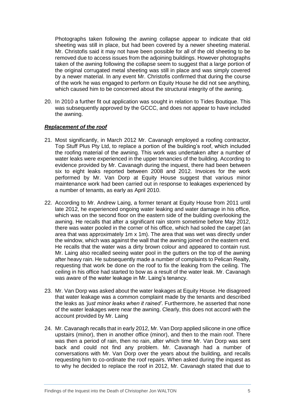Photographs taken following the awning collapse appear to indicate that old sheeting was still in place, but had been covered by a newer sheeting material. Mr. Christofis said it may not have been possible for all of the old sheeting to be removed due to access issues from the adjoining buildings. However photographs taken of the awning following the collapse seem to suggest that a large portion of the original corrugated metal sheeting was still in place and was simply covered by a newer material. In any event Mr. Christofis confirmed that during the course of the work he was engaged to perform on Equity House he did not see anything, which caused him to be concerned about the structural integrity of the awning.

20. In 2010 a further fit out application was sought in relation to Tides Boutique. This was subsequently approved by the GCCC, and does not appear to have included the awning.

#### <span id="page-7-0"></span>*Replacement of the roof*

- 21. Most significantly, in March 2012 Mr. Cavanagh employed a roofing contractor, Top Stuff Plus Pty Ltd, to replace a portion of the building's roof, which included the roofing material of the awning. This work was undertaken after a number of water leaks were experienced in the upper tenancies of the building. According to evidence provided by Mr. Cavanagh during the inquest, there had been between six to eight leaks reported between 2008 and 2012. Invoices for the work performed by Mr. Van Dorp at Equity House suggest that various minor maintenance work had been carried out in response to leakages experienced by a number of tenants, as early as April 2010.
- 22. According to Mr. Andrew Laing, a former tenant at Equity House from 2011 until late 2012, he experienced ongoing water leaking and water damage in his office, which was on the second floor on the eastern side of the building overlooking the awning. He recalls that after a significant rain storm sometime before May 2012, there was water pooled in the corner of his office, which had soiled the carpet (an area that was approximately 1m x 1m). The area that was wet was directly under the window, which was against the wall that the awning joined on the eastern end. He recalls that the water was a dirty brown colour and appeared to contain rust. Mr. Laing also recalled seeing water pool in the gutters on the top of the awning after heavy rain. He subsequently made a number of complaints to Pelican Realty, requesting that work be done on the roof to fix the leaking from the ceiling. The ceiling in his office had started to bow as a result of the water leak. Mr. Cavanagh was aware of the water leakage in Mr. Laing's tenancy.
- 23. Mr. Van Dorp was asked about the water leakages at Equity House. He disagreed that water leakage was a common complaint made by the tenants and described the leaks as *'just minor leaks when it rained'*. Furthermore, he asserted that none of the water leakages were near the awning. Clearly, this does not accord with the account provided by Mr. Laing
- 24. Mr. Cavanagh recalls that in early 2012, Mr. Van Dorp applied silicone in one office upstairs (minor), then in another office (minor), and then to the main roof. There was then a period of rain, then no rain, after which time Mr. Van Dorp was sent back and could not find any problem. Mr. Cavanagh had a number of conversations with Mr. Van Dorp over the years about the building, and recalls requesting him to co-ordinate the roof repairs. When asked during the inquest as to why he decided to replace the roof in 2012, Mr. Cavanagh stated that due to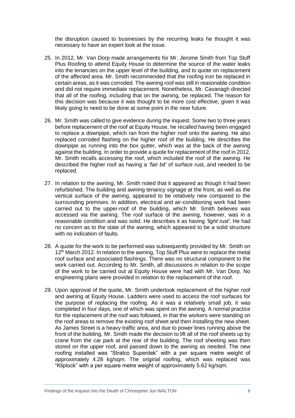the disruption caused to businesses by the recurring leaks he thought it was necessary to have an expert look at the issue.

- 25. In 2012, Mr. Van Dorp made arrangements for Mr. Jerome Smith from Top Stuff Plus Roofing to attend Equity House to determine the source of the water leaks into the tenancies on the upper level of the building, and to quote on replacement of the affected area. Mr. Smith recommended that the roofing iron be replaced in certain areas, as it was corroded. The awning roof was still in reasonable condition and did not require immediate replacement. Nonetheless, Mr. Cavanagh directed that all of the roofing, including that on the awning, be replaced. The reason for this decision was because it was thought to be more cost effective, given it was likely going to need to be done at some point in the near future.
- 26. Mr. Smith was called to give evidence during the inquest. Some two to three years before replacement of the roof at Equity House, he recalled having been engaged to replace a downpipe, which ran from the higher roof onto the awning. He also replaced corroded flashing on the higher roof of the building. He describes the downpipe as running into the box gutter, which was at the back of the awning against the building. In order to provide a quote for replacement of the roof in 2012, Mr. Smith recalls accessing the roof, which included the roof of the awning. He described the higher roof as having a *'fair bit'* of surface rust, and needed to be replaced.
- 27. In relation to the awning, Mr. Smith noted that it appeared as though it had been refurbished. The building and awning tenancy signage at the front, as well as the vertical surface of the awning, appeared to be relatively new compared to the surrounding premises. In addition, electrical and air-conditioning work had been carried out to the upper-roof of the building, which Mr. Smith believes was accessed via the awning. The roof surface of the awning, however, was in a reasonable condition and was solid. He describes it as having *'light rust'*. He had no concern as to the state of the awning, which appeared to be a solid structure with no indication of faults.
- 28. A quote for the work to be performed was subsequently provided by Mr. Smith on 12<sup>th</sup> March 2012. In relation to the awning, Top Stuff Plus were to replace the metal roof surface and associated flashings. There was no structural component to the work carried out. According to Mr. Smith, all discussions in relation to the scope of the work to be carried out at Equity House were had with Mr. Van Dorp. No engineering plans were provided in relation to the replacement of the roof.
- 29. Upon approval of the quote, Mr. Smith undertook replacement of the higher roof and awning at Equity House. Ladders were used to access the roof surfaces for the purpose of replacing the roofing. As it was a relatively small job, it was completed in four days, one of which was spent on the awning. A normal practice for the replacement of the roof was followed, in that the workers were standing on the roof areas to remove the existing roof sheet and then installing the new sheet. As James Street is a heavy traffic area, and due to power lines running above the front of the building, Mr. Smith made the decision to lift all of the roof sheets up by crane from the car park at the rear of the building, The roof sheeting was then stored on the upper roof, and passed down to the awning as needed. The new roofing installed was "Stratco Superdek" with a per square metre weight of approximately 4.28 kg/sqm. The original roofing, which was replaced was "Kliplock" with a per square metre weight of approximately 5.62 kg/sqm.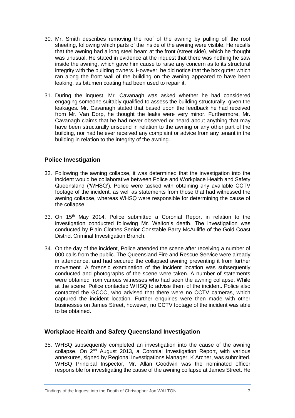- 30. Mr. Smith describes removing the roof of the awning by pulling off the roof sheeting, following which parts of the inside of the awning were visible. He recalls that the awning had a long steel beam at the front (street side), which he thought was unusual. He stated in evidence at the inquest that there was nothing he saw inside the awning, which gave him cause to raise any concern as to its structural integrity with the building owners. However, he did notice that the box gutter which ran along the front wall of the building on the awning appeared to have been leaking, as bitumen coating had been used to repair it.
- 31. During the inquest, Mr. Cavanagh was asked whether he had considered engaging someone suitably qualified to assess the building structurally, given the leakages. Mr. Cavanagh stated that based upon the feedback he had received from Mr. Van Dorp, he thought the leaks were very minor. Furthermore, Mr. Cavanagh claims that he had never observed or heard about anything that may have been structurally unsound in relation to the awning or any other part of the building, nor had he ever received any complaint or advice from any tenant in the building in relation to the integrity of the awning.

# <span id="page-9-0"></span>**Police Investigation**

- 32. Following the awning collapse, it was determined that the investigation into the incident would be collaborative between Police and Workplace Health and Safety Queensland ('WHSQ'). Police were tasked with obtaining any available CCTV footage of the incident, as well as statements from those that had witnessed the awning collapse, whereas WHSQ were responsible for determining the cause of the collapse.
- 33. On 15<sup>th</sup> May 2014. Police submitted a Coronial Report in relation to the investigation conducted following Mr. Walton's death. The investigation was conducted by Plain Clothes Senior Constable Barry McAuliffe of the Gold Coast District Criminal Investigation Branch.
- 34. On the day of the incident, Police attended the scene after receiving a number of 000 calls from the public. The Queensland Fire and Rescue Service were already in attendance, and had secured the collapsed awning preventing it from further movement. A forensic examination of the incident location was subsequently conducted and photographs of the scene were taken. A number of statements were obtained from various witnesses who had seen the awning collapse. While at the scene, Police contacted WHSQ to advise them of the incident. Police also contacted the GCCC, who advised that there were no CCTV cameras, which captured the incident location. Further enquiries were then made with other businesses on James Street, however, no CCTV footage of the incident was able to be obtained.

# <span id="page-9-1"></span>**Workplace Health and Safety Queensland Investigation**

35. WHSQ subsequently completed an investigation into the cause of the awning collapse. On 2nd August 2013, a Coronial Investigation Report, with various annexures, signed by Regional Investigations Manager, K Archer, was submitted. WHSQ Principal Inspector, Mr. Allan Goodwin was the nominated officer responsible for investigating the cause of the awning collapse at James Street. He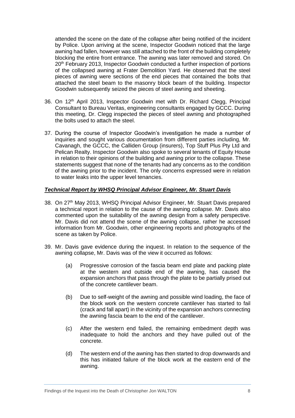attended the scene on the date of the collapse after being notified of the incident by Police. Upon arriving at the scene, Inspector Goodwin noticed that the large awning had fallen, however was still attached to the front of the building completely blocking the entire front entrance. The awning was later removed and stored. On 20th February 2013, Inspector Goodwin conducted a further inspection of portions of the collapsed awning at Frater Demolition Yard. He observed that the steel pieces of awning were sections of the end pieces that contained the bolts that attached the steel beam to the masonry block beam of the building. Inspector Goodwin subsequently seized the pieces of steel awning and sheeting.

- 36. On 12th April 2013, Inspector Goodwin met with Dr. Richard Clegg, Principal Consultant to Bureau Veritas, engineering consultants engaged by GCCC. During this meeting, Dr. Clegg inspected the pieces of steel awning and photographed the bolts used to attach the steel.
- 37. During the course of Inspector Goodwin's investigation he made a number of inquiries and sought various documentation from different parties including, Mr. Cavanagh, the GCCC, the Calliden Group (insurers), Top Stuff Plus Pty Ltd and Pelican Realty. Inspector Goodwin also spoke to several tenants of Equity House in relation to their opinions of the building and awning prior to the collapse. These statements suggest that none of the tenants had any concerns as to the condition of the awning prior to the incident. The only concerns expressed were in relation to water leaks into the upper level tenancies.

#### <span id="page-10-0"></span>*Technical Report by WHSQ Principal Advisor Engineer, Mr. Stuart Davis*

- 38. On 27<sup>th</sup> May 2013, WHSQ Principal Advisor Engineer, Mr. Stuart Davis prepared a technical report in relation to the cause of the awning collapse. Mr. Davis also commented upon the suitability of the awning design from a safety perspective. Mr. Davis did not attend the scene of the awning collapse, rather he accessed information from Mr. Goodwin, other engineering reports and photographs of the scene as taken by Police.
- 39. Mr. Davis gave evidence during the inquest. In relation to the sequence of the awning collapse, Mr. Davis was of the view it occurred as follows:
	- (a) Progressive corrosion of the fascia beam end plate and packing plate at the western and outside end of the awning, has caused the expansion anchors that pass through the plate to be partially prised out of the concrete cantilever beam.
	- (b) Due to self-weight of the awning and possible wind loading, the face of the block work on the western concrete cantilever has started to fail (crack and fall apart) in the vicinity of the expansion anchors connecting the awning fascia beam to the end of the cantilever.
	- (c) After the western end failed, the remaining embedment depth was inadequate to hold the anchors and they have pulled out of the concrete.
	- (d) The western end of the awning has then started to drop downwards and this has initiated failure of the block work at the eastern end of the awning.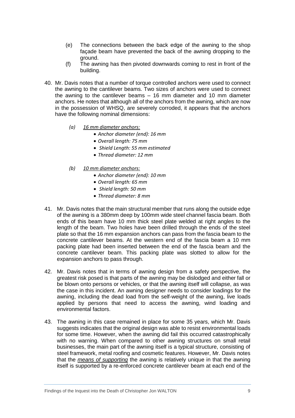- (e) The connections between the back edge of the awning to the shop façade beam have prevented the back of the awning dropping to the ground.
- (f) The awning has then pivoted downwards coming to rest in front of the building.
- 40. Mr. Davis notes that a number of torque controlled anchors were used to connect the awning to the cantilever beams. Two sizes of anchors were used to connect the awning to the cantilever beams – 16 mm diameter and 10 mm diameter anchors. He notes that although all of the anchors from the awning, which are now in the possession of WHSQ, are severely corroded, it appears that the anchors have the following nominal dimensions:
	- *(a) 16 mm diameter anchors:*
		- *Anchor diameter (end): 16 mm*
		- *Overall length: 75 mm*
		- *Shield Length: 55 mm estimated*
		- *Thread diameter: 12 mm*
	- *(b) 10 mm diameter anchors:*
		- *Anchor diameter (end): 10 mm*
		- *Overall length: 65 mm*
		- *Shield length: 50 mm*
		- *Thread diameter: 8 mm*
- 41. Mr. Davis notes that the main structural member that runs along the outside edge of the awning is a 380mm deep by 100mm wide steel channel fascia beam. Both ends of this beam have 10 mm thick steel plate welded at right angles to the length of the beam. Two holes have been drilled through the ends of the steel plate so that the 16 mm expansion anchors can pass from the fascia beam to the concrete cantilever beams. At the western end of the fascia beam a 10 mm packing plate had been inserted between the end of the fascia beam and the concrete cantilever beam. This packing plate was slotted to allow for the expansion anchors to pass through.
- 42. Mr. Davis notes that in terms of awning design from a safety perspective, the greatest risk posed is that parts of the awning may be dislodged and either fall or be blown onto persons or vehicles, or that the awning itself will collapse, as was the case in this incident. An awning designer needs to consider loadings for the awning, including the dead load from the self-weight of the awning, live loads applied by persons that need to access the awning, wind loading and environmental factors.
- 43. The awning in this case remained in place for some 35 years, which Mr. Davis suggests indicates that the original design was able to resist environmental loads for some time. However, when the awning did fail this occurred catastrophically with no warning. When compared to other awning structures on small retail businesses, the main part of the awning itself is a typical structure, consisting of steel framework, metal roofing and cosmetic features. However, Mr. Davis notes that the *means of supporting* the awning is relatively unique in that the awning itself is supported by a re-enforced concrete cantilever beam at each end of the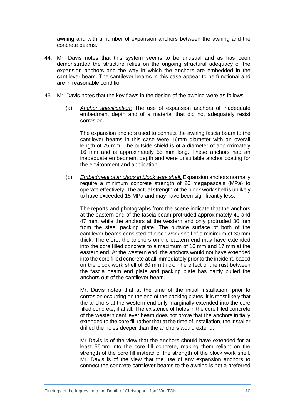awning and with a number of expansion anchors between the awning and the concrete beams.

- 44. Mr. Davis notes that this system seems to be unusual and as has been demonstrated the structure relies on the ongoing structural adequacy of the expansion anchors and the way in which the anchors are embedded in the cantilever beam. The cantilever beams in this case appear to be functional and are in reasonable condition.
- 45. Mr. Davis notes that the key flaws in the design of the awning were as follows:
	- (a) *Anchor specification*: The use of expansion anchors of inadequate embedment depth and of a material that did not adequately resist corrosion.

The expansion anchors used to connect the awning fascia beam to the cantilever beams in this case were 16mm diameter with an overall length of 75 mm. The outside shield is of a diameter of approximately 16 mm and is approximately 55 mm long. These anchors had an inadequate embedment depth and were unsuitable anchor coating for the environment and application.

(b) *Embedment of anchors in block work shell:* Expansion anchors normally require a minimum concrete strength of 20 megapascals (MPa) to operate effectively. The actual strength of the block work shell is unlikely to have exceeded 15 MPa and may have been significantly less.

The reports and photographs from the scene indicate that the anchors at the eastern end of the fascia beam protruded approximately 40 and 47 mm, while the anchors at the western end only protruded 30 mm from the steel packing plate. The outside surface of both of the cantilever beams consisted of block work shell of a minimum of 30 mm thick. Therefore, the anchors on the eastern end may have extended into the core filled concrete to a maximum of 10 mm and 17 mm at the eastern end. At the western end, the anchors would not have extended into the core filled concrete at all immediately prior to the incident, based on the block work shell of 30 mm thick. The effect of the rust between the fascia beam end plate and packing plate has partly pulled the anchors out of the cantilever beam.

Mr. Davis notes that at the time of the initial installation, prior to corrosion occurring on the end of the packing plates, it is most likely that the anchors at the western end only marginally extended into the core filled concrete, if at all. The existence of holes in the core filled concrete of the western cantilever beam does not prove that the anchors initially extended to the core fill rather that at the time of installation, the installer drilled the holes deeper than the anchors would extend.

Mr Davis is of the view that the anchors should have extended for at least 55mm into the core fill concrete, making them reliant on the strength of the core fill instead of the strength of the block work shell. Mr. Davis is of the view that the use of any expansion anchors to connect the concrete cantilever beams to the awning is not a preferred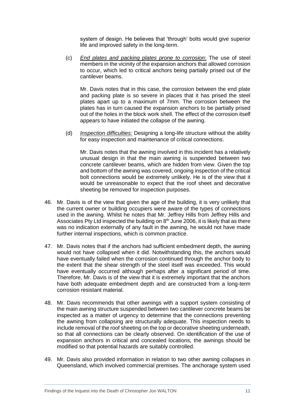system of design. He believes that 'through' bolts would give superior life and improved safety in the long-term.

(c) *End plates and packing plates prone to corrosion*: The use of steel members in the vicinity of the expansion anchors that allowed corrosion to occur, which led to critical anchors being partially prised out of the cantilever beams.

Mr. Davis notes that in this case, the corrosion between the end plate and packing plate is so severe in places that it has prised the steel plates apart up to a maximum of 7mm. The corrosion between the plates has in turn caused the expansion anchors to be partially prised out of the holes in the block work shell. The effect of the corrosion itself appears to have initiated the collapse of the awning.

(d) *Inspection difficulties:* Designing a long-life structure without the ability for easy inspection and maintenance of critical connections.

Mr. Davis notes that the awning involved in this incident has a relatively unusual design in that the main awning is suspended between two concrete cantilever beams, which are hidden from view. Given the top and bottom of the awning was covered, ongoing inspection of the critical bolt connections would be extremely unlikely. He is of the view that it would be unreasonable to expect that the roof sheet and decorative sheeting be removed for inspection purposes.

- 46. Mr. Davis is of the view that given the age of the building, it is very unlikely that the current owner or building occupiers were aware of the types of connections used in the awning. Whilst he notes that Mr. Jeffrey Hills from Jeffrey Hills and Associates Pty Ltd inspected the building on  $8<sup>th</sup>$  June 2006, it is likely that as there was no indication externally of any fault in the awning, he would not have made further internal inspections, which is common practice.
- 47. Mr. Davis notes that if the anchors had sufficient embedment depth, the awning would not have collapsed when it did. Notwithstanding this, the anchors would have eventually failed when the corrosion continued through the anchor body to the extent that the shear strength of the steel itself was exceeded. This would have eventually occurred although perhaps after a significant period of time. Therefore, Mr. Davis is of the view that it is extremely important that the anchors have both adequate embedment depth and are constructed from a long-term corrosion resistant material.
- 48. Mr. Davis recommends that other awnings with a support system consisting of the main awning structure suspended between two cantilever concrete beams be inspected as a matter of urgency to determine that the connections preventing the awning from collapsing are structurally adequate. This inspection needs to include removal of the roof sheeting on the top or decorative sheeting underneath, so that all connections can be clearly observed. On identification of the use of expansion anchors in critical and concealed locations, the awnings should be modified so that potential hazards are suitably controlled.
- 49. Mr. Davis also provided information in relation to two other awning collapses in Queensland, which involved commercial premises. The anchorage system used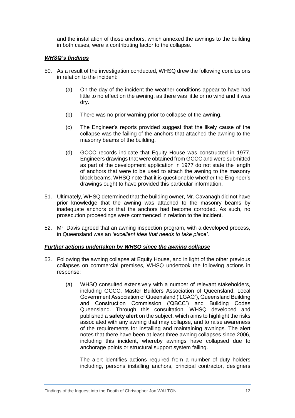and the installation of those anchors, which annexed the awnings to the building in both cases, were a contributing factor to the collapse.

#### <span id="page-14-0"></span>*WHSQ's findings*

- 50. As a result of the investigation conducted, WHSQ drew the following conclusions in relation to the incident:
	- (a) On the day of the incident the weather conditions appear to have had little to no effect on the awning, as there was little or no wind and it was dry.
	- (b) There was no prior warning prior to collapse of the awning.
	- (c) The Engineer's reports provided suggest that the likely cause of the collapse was the failing of the anchors that attached the awning to the masonry beams of the building.
	- (d) GCCC records indicate that Equity House was constructed in 1977. Engineers drawings that were obtained from GCCC and were submitted as part of the development application in 1977 do not state the length of anchors that were to be used to attach the awning to the masonry block beams. WHSQ note that it is questionable whether the Engineer's drawings ought to have provided this particular information.
- 51. Ultimately, WHSQ determined that the building owner, Mr. Cavanagh did not have prior knowledge that the awning was attached to the masonry beams by inadequate anchors or that the anchors had become corroded. As such, no prosecution proceedings were commenced in relation to the incident.
- 52. Mr. Davis agreed that an awning inspection program, with a developed process, in Queensland was an *'excellent idea that needs to take place'*.

#### *Further actions undertaken by WHSQ since the awning collapse*

- 53. Following the awning collapse at Equity House, and in light of the other previous collapses on commercial premises, WHSQ undertook the following actions in response:
	- (a) WHSQ consulted extensively with a number of relevant stakeholders, including GCCC, Master Builders Association of Queensland, Local Government Association of Queensland ('LGAQ'), Queensland Building and Construction Commission ('QBCC') and Building Codes Queensland. Through this consultation, WHSQ developed and published a **safety alert** on the subject, which aims to highlight the risks associated with any awning that may collapse, and to raise awareness of the requirements for installing and maintaining awnings. The alert notes that there have been at least three awning collapses since 2006, including this incident, whereby awnings have collapsed due to anchorage points or structural support system failing.

The alert identifies actions required from a number of duty holders including, persons installing anchors, principal contractor, designers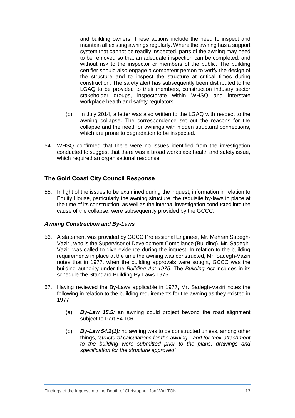and building owners. These actions include the need to inspect and maintain all existing awnings regularly. Where the awning has a support system that cannot be readily inspected, parts of the awning may need to be removed so that an adequate inspection can be completed, and without risk to the inspector or members of the public. The building certifier should also engage a competent person to verify the design of the structure and to inspect the structure at critical times during construction. The safety alert has subsequently been distributed to the LGAQ to be provided to their members, construction industry sector stakeholder groups, inspectorate within WHSQ and interstate workplace health and safety regulators.

- (b) In July 2014, a letter was also written to the LGAQ with respect to the awning collapse. The correspondence set out the reasons for the collapse and the need for awnings with hidden structural connections, which are prone to degradation to be inspected.
- 54. WHSQ confirmed that there were no issues identified from the investigation conducted to suggest that there was a broad workplace health and safety issue, which required an organisational response.

# <span id="page-15-0"></span>**The Gold Coast City Council Response**

55. In light of the issues to be examined during the inquest, information in relation to Equity House, particularly the awning structure, the requisite by-laws in place at the time of its construction, as well as the internal investigation conducted into the cause of the collapse, were subsequently provided by the GCCC.

#### <span id="page-15-1"></span>*Awning Construction and By-Laws*

- 56. A statement was provided by GCCC Professional Engineer, Mr. Mehran Sadegh-Vaziri, who is the Supervisor of Development Compliance (Building). Mr. Sadegh-Vaziri was called to give evidence during the inquest. In relation to the building requirements in place at the time the awning was constructed, Mr. Sadegh-Vaziri notes that in 1977, when the building approvals were sought, GCCC was the building authority under the *Building Act 1975*. The *Building Act* includes in its schedule the Standard Building By-Laws 1975.
- 57. Having reviewed the By-Laws applicable in 1977, Mr. Sadegh-Vaziri notes the following in relation to the building requirements for the awning as they existed in 1977:
	- (a) *By-Law 15.5:* an awning could project beyond the road alignment subject to Part 54.106
	- (b) *By-Law 54.2(1):* no awning was to be constructed unless, among other things, *'structural calculations for the awning…and for their attachment to the building were submitted prior to the plans, drawings and specification for the structure approved'*.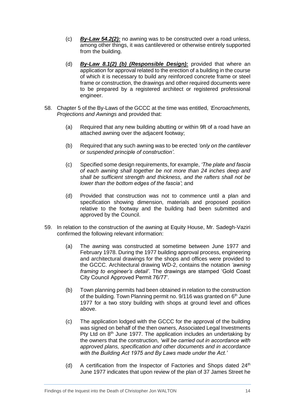- (c) *By-Law 54.2(2):* no awning was to be constructed over a road unless, among other things, it was cantilevered or otherwise entirely supported from the building.
- (d) *By-Law 8.1(2) (b) (Responsible Design):* provided that where an application for approval related to the erection of a building in the course of which it is necessary to build any reinforced concrete frame or steel frame or construction, the drawings and other required documents were to be prepared by a registered architect or registered professional engineer.
- 58. Chapter 5 of the By-Laws of the GCCC at the time was entitled, *'Encroachments, Projections and Awnings* and provided that:
	- (a) Required that any new building abutting or within 9ft of a road have an attached awning over the adjacent footway;
	- (b) Required that any such awning was to be erected *'only on the cantilever or suspended principle of construction'*.
	- (c) Specified some design requirements, for example, *'The plate and fascia of each awning shall together be not more than 24 inches deep and shall be sufficient strength and thickness, and the rafters shall not be lower than the bottom edges of the fascia'*; and
	- (d) Provided that construction was not to commence until a plan and specification showing dimension, materials and proposed position relative to the footway and the building had been submitted and approved by the Council.
- 59. In relation to the construction of the awning at Equity House, Mr. Sadegh-Vaziri confirmed the following relevant information:
	- (a) The awning was constructed at sometime between June 1977 and February 1978. During the 1977 building approval process, engineering and architectural drawings for the shops and offices were provided to the GCCC. Architectural drawing WD-2, contains the notation *'awning framing to engineer's detail'*. The drawings are stamped 'Gold Coast City Council Approved Permit 76/77'.
	- (b) Town planning permits had been obtained in relation to the construction of the building. Town Planning permit no.  $9/116$  was granted on  $6<sup>th</sup>$  June 1977 for a two story building with shops at ground level and offices above.
	- (c) The application lodged with the GCCC for the approval of the building was signed on behalf of the then owners, Associated Legal Investments Pty Ltd on 8<sup>th</sup> June 1977. The application includes an undertaking by the owners that the construction, *'will be carried out in accordance with approved plans, specification and other documents and in accordance with the Building Act 1975 and By Laws made under the Act.'*
	- (d) A certification from the Inspector of Factories and Shops dated  $24<sup>th</sup>$ June 1977 indicates that upon review of the plan of 37 James Street he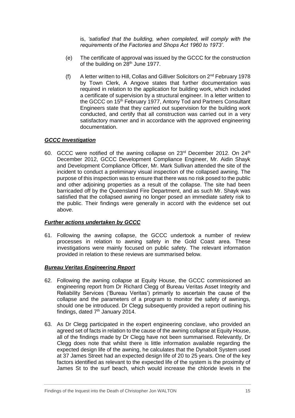is, *'satisfied that the building, when completed, will comply with the requirements of the Factories and Shops Act 1960 to 1973'*.

- (e) The certificate of approval was issued by the GCCC for the construction of the building on 28<sup>th</sup> June 1977.
- (f) A letter written to Hill, Collas and Gilliver Solicitors on 2nd February 1978 by Town Clerk, A Angove states that further documentation was required in relation to the application for building work, which included a certificate of supervision by a structural engineer. In a letter written to the GCCC on 15<sup>th</sup> February 1977, Antony Tod and Partners Consultant Engineers state that they carried out supervision for the building work conducted, and certify that all construction was carried out in a very satisfactory manner and in accordance with the approved engineering documentation.

#### <span id="page-17-0"></span>*GCCC Investigation*

60. GCCC were notified of the awning collapse on 23<sup>rd</sup> December 2012. On 24<sup>th</sup> December 2012, GCCC Development Compliance Engineer, Mr. Aidin Shayk and Development Compliance Officer, Mr. Mark Sullivan attended the site of the incident to conduct a preliminary visual inspection of the collapsed awning. The purpose of this inspection was to ensure that there was no risk posed to the public and other adjoining properties as a result of the collapse. The site had been barricaded off by the Queensland Fire Department, and as such Mr. Shayk was satisfied that the collapsed awning no longer posed an immediate safety risk to the public. Their findings were generally in accord with the evidence set out above.

#### <span id="page-17-1"></span>*Further actions undertaken by GCCC*

61. Following the awning collapse, the GCCC undertook a number of review processes in relation to awning safety in the Gold Coast area. These investigations were mainly focused on public safety. The relevant information provided in relation to these reviews are summarised below.

#### <span id="page-17-2"></span>*Bureau Veritas Engineering Report*

- 62. Following the awning collapse at Equity House, the GCCC commissioned an engineering report from Dr Richard Clegg of Bureau Veritas Asset Integrity and Reliability Services ('Bureau Veritas') primarily to ascertain the cause of the collapse and the parameters of a program to monitor the safety of awnings, should one be introduced. Dr Clegg subsequently provided a report outlining his findings, dated 7<sup>th</sup> January 2014.
- 63. As Dr Clegg participated in the expert engineering conclave, who provided an agreed set of facts in relation to the cause of the awning collapse at Equity House, all of the findings made by Dr Clegg have not been summarised. Relevantly, Dr Clegg does note that whilst there is little information available regarding the expected design life of the awning, he calculates that the Dynabolt System used at 37 James Street had an expected design life of 20 to 25 years. One of the key factors identified as relevant to the expected life of the system is the proximity of James St to the surf beach, which would increase the chloride levels in the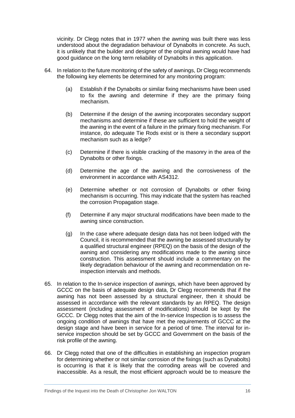vicinity. Dr Clegg notes that in 1977 when the awning was built there was less understood about the degradation behaviour of Dynabolts in concrete. As such, it is unlikely that the builder and designer of the original awning would have had good guidance on the long term reliability of Dynabolts in this application.

- 64. In relation to the future monitoring of the safety of awnings, Dr Clegg recommends the following key elements be determined for any monitoring program:
	- (a) Establish if the Dynabolts or similar fixing mechanisms have been used to fix the awning and determine if they are the primary fixing mechanism.
	- (b) Determine if the design of the awning incorporates secondary support mechanisms and determine if these are sufficient to hold the weight of the awning in the event of a failure in the primary fixing mechanism. For instance, do adequate Tie Rods exist or is there a secondary support mechanism such as a ledge?
	- (c) Determine if there is visible cracking of the masonry in the area of the Dynabolts or other fixings.
	- (d) Determine the age of the awning and the corrosiveness of the environment in accordance with AS4312.
	- (e) Determine whether or not corrosion of Dynabolts or other fixing mechanism is occurring. This may indicate that the system has reached the corrosion Propagation stage.
	- (f) Determine if any major structural modifications have been made to the awning since construction.
	- (g) In the case where adequate design data has not been lodged with the Council, it is recommended that the awning be assessed structurally by a qualified structural engineer (RPEQ) on the basis of the design of the awning and considering any modifications made to the awning since construction. This assessment should include a commentary on the likely degradation behaviour of the awning and recommendation on reinspection intervals and methods.
- 65. In relation to the In-service inspection of awnings, which have been approved by GCCC on the basis of adequate design data, Dr Clegg recommends that if the awning has not been assessed by a structural engineer, then it should be assessed in accordance with the relevant standards by an RPEQ. The design assessment (including assessment of modifications) should be kept by the GCCC. Dr Clegg notes that the aim of the In-service Inspection is to assess the ongoing condition of awnings that have met the requirements of GCCC at the design stage and have been in service for a period of time. The interval for inservice inspection should be set by GCCC and Government on the basis of the risk profile of the awning.
- 66. Dr Clegg noted that one of the difficulties in establishing an inspection program for determining whether or not similar corrosion of the fixings (such as Dynabolts) is occurring is that it is likely that the corroding areas will be covered and inaccessible. As a result, the most efficient approach would be to measure the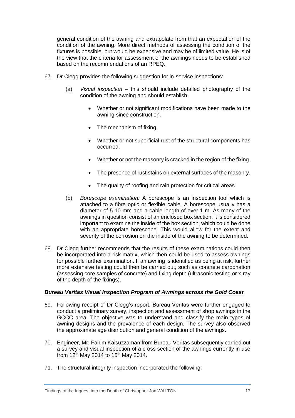general condition of the awning and extrapolate from that an expectation of the condition of the awning. More direct methods of assessing the condition of the fixtures is possible, but would be expensive and may be of limited value. He is of the view that the criteria for assessment of the awnings needs to be established based on the recommendations of an RPEQ.

- 67. Dr Clegg provides the following suggestion for in-service inspections:
	- (a) *Visual inspection* this should include detailed photography of the condition of the awning and should establish:
		- Whether or not significant modifications have been made to the awning since construction.
		- The mechanism of fixing.
		- Whether or not superficial rust of the structural components has occurred.
		- Whether or not the masonry is cracked in the region of the fixing.
		- The presence of rust stains on external surfaces of the masonry.
		- The quality of roofing and rain protection for critical areas.
	- (b) *Borescope examination:* A borescope is an inspection tool which is attached to a fibre optic or flexible cable. A borescope usually has a diameter of 5-10 mm and a cable length of over 1 m. As many of the awnings in question consist of an enclosed box section, it is considered important to examine the inside of the box section, which could be done with an appropriate borescope. This would allow for the extent and severity of the corrosion on the inside of the awning to be determined.
- 68. Dr Clegg further recommends that the results of these examinations could then be incorporated into a risk matrix, which then could be used to assess awnings for possible further examination. If an awning is identified as being at risk, further more extensive testing could then be carried out, such as concrete carbonation (assessing core samples of concrete) and fixing depth (ultrasonic testing or x-ray of the depth of the fixings).

#### <span id="page-19-0"></span>*Bureau Veritas Visual Inspection Program of Awnings across the Gold Coast*

- 69. Following receipt of Dr Clegg's report, Bureau Veritas were further engaged to conduct a preliminary survey, inspection and assessment of shop awnings in the GCCC area. The objective was to understand and classify the main types of awning designs and the prevalence of each design. The survey also observed the approximate age distribution and general condition of the awnings.
- 70. Engineer, Mr. Fahim Kaisuzzaman from Bureau Veritas subsequently carried out a survey and visual inspection of a cross section of the awnings currently in use from  $12^{th}$  May 2014 to  $15^{th}$  May 2014.
- 71. The structural integrity inspection incorporated the following: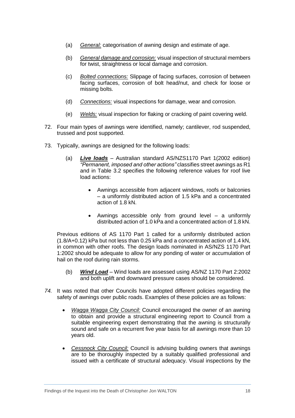- (a) *General:* categorisation of awning design and estimate of age.
- (b) *General damage and corrosion:* visual inspection of structural members for twist, straightness or local damage and corrosion.
- (c) *Bolted connections:* Slippage of facing surfaces, corrosion of between facing surfaces, corrosion of bolt head/nut, and check for loose or missing bolts.
- (d) *Connections:* visual inspections for damage, wear and corrosion.
- (e) *Welds:* visual inspection for flaking or cracking of paint covering weld.
- 72. Four main types of awnings were identified, namely; cantilever, rod suspended, trussed and post supported.
- 73. Typically, awnings are designed for the following loads:
	- (a) *Live loads* Australian standard AS/NZS1170 Part 1(2002 edition) *"Permanent, imposed and other actions"* classifies street awnings as R1 and in Table 3.2 specifies the following reference values for roof live load actions:
		- Awnings accessible from adjacent windows, roofs or balconies – a uniformly distributed action of 1.5 kPa and a concentrated action of 1.8 kN.
		- Awnings accessible only from ground level a uniformly distributed action of 1.0 kPa and a concentrated action of 1.8 kN.

Previous editions of AS 1170 Part 1 called for a uniformly distributed action (1.8/A+0.12) kPa but not less than 0.25 kPa and a concentrated action of 1.4 kN, in common with other roofs. The design loads nominated in AS/NZS 1170 Part 1:2002 should be adequate to allow for any ponding of water or accumulation of hail on the roof during rain storms.

- (b) *Wind Load* Wind loads are assessed using AS/NZ 1170 Part 2:2002 and both uplift and downward pressure cases should be considered.
- *74.* It was noted that other Councils have adopted different policies regarding the safety of awnings over public roads. Examples of these policies are as follows:
	- *Wagga Wagga City Council:* Council encouraged the owner of an awning to obtain and provide a structural engineering report to Council from a suitable engineering expert demonstrating that the awning is structurally sound and safe on a recurrent five year basis for all awnings more than 10 years old.
	- *Cessnock City Council:* Council is advising building owners that awnings are to be thoroughly inspected by a suitably qualified professional and issued with a certificate of structural adequacy. Visual inspections by the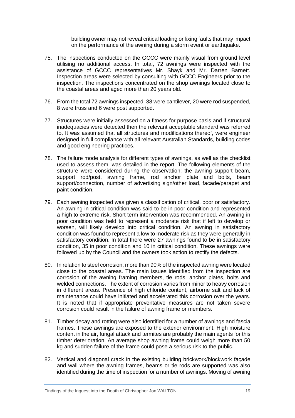building owner may not reveal critical loading or fixing faults that may impact on the performance of the awning during a storm event or earthquake.

- 75. The inspections conducted on the GCCC were mainly visual from ground level utilising no additional access. In total, 72 awnings were inspected with the assistance of GCCC representatives Mr. Shayk and Mr. Darren Barnett. Inspection areas were selected by consulting with GCCC Engineers prior to the inspection. The inspections concentrated on the shop awnings located close to the coastal areas and aged more than 20 years old.
- 76. From the total 72 awnings inspected, 38 were cantilever, 20 were rod suspended, 8 were truss and 6 were post supported.
- 77. Structures were initially assessed on a fitness for purpose basis and if structural inadequacies were detected then the relevant acceptable standard was referred to. It was assumed that all structures and modifications thereof, were engineer designed in full compliance with all relevant Australian Standards, building codes and good engineering practices.
- 78. The failure mode analysis for different types of awnings, as well as the checklist used to assess them, was detailed in the report. The following elements of the structure were considered during the observation: the awning support beam, support rod/post, awning frame, rod anchor plate and bolts, beam support/connection, number of advertising sign/other load, facade/parapet and paint condition.
- 79. Each awning inspected was given a classification of critical, poor or satisfactory. An awning in critical condition was said to be in poor condition and represented a high to extreme risk. Short term intervention was recommended. An awning in poor condition was held to represent a moderate risk that if left to develop or worsen, will likely develop into critical condition. An awning in satisfactory condition was found to represent a low to moderate risk as they were generally in satisfactory condition. In total there were 27 awnings found to be in satisfactory condition, 35 in poor condition and 10 in critical condition. These awnings were followed up by the Council and the owners took action to rectify the defects.
- 80. In relation to steel corrosion, more than 90% of the inspected awning were located close to the coastal areas. The main issues identified from the inspection are corrosion of the awning framing members, tie rods, anchor plates, bolts and welded connections. The extent of corrosion varies from minor to heavy corrosion in different areas. Presence of high chloride content, airborne salt and lack of maintenance could have initiated and accelerated this corrosion over the years. It is noted that if appropriate preventative measures are not taken severe corrosion could result in the failure of awning frame or members.
- 81. Timber decay and rotting were also identified for a number of awnings and fascia frames. These awnings are exposed to the exterior environment. High moisture content in the air, fungal attack and termites are probably the main agents for this timber deterioration. An average shop awning frame could weigh more than 50 kg and sudden failure of the frame could pose a serious risk to the public.
- 82. Vertical and diagonal crack in the existing building brickwork/blockwork façade and wall where the awning frames, beams or tie rods are supported was also identified during the time of inspection for a number of awnings. Moving of awning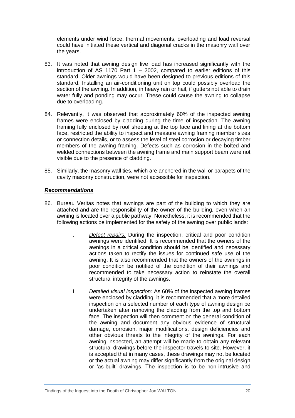elements under wind force, thermal movements, overloading and load reversal could have initiated these vertical and diagonal cracks in the masonry wall over the years.

- 83. It was noted that awning design live load has increased significantly with the introduction of AS 1170 Part  $1 - 2002$ , compared to earlier editions of this standard. Older awnings would have been designed to previous editions of this standard. Installing an air-conditioning unit on top could possibly overload the section of the awning. In addition, in heavy rain or hail, if gutters not able to drain water fully and ponding may occur. These could cause the awning to collapse due to overloading.
- 84. Relevantly, it was observed that approximately 60% of the inspected awning frames were enclosed by cladding during the time of inspection. The awning framing fully enclosed by roof sheeting at the top face and lining at the bottom face, restricted the ability to inspect and measure awning framing member sizes or connection details, or to assess the level of steel corrosion or decaying timber members of the awning framing. Defects such as corrosion in the bolted and welded connections between the awning frame and main support beam were not visible due to the presence of cladding.
- 85. Similarly, the masonry wall ties, which are anchored in the wall or parapets of the cavity masonry construction, were not accessible for inspection.

## <span id="page-22-0"></span>*Recommendations*

- 86. Bureau Veritas notes that awnings are part of the building to which they are attached and are the responsibility of the owner of the building, even when an awning is located over a public pathway. Nonetheless, it is recommended that the following actions be implemented for the safety of the awning over public lands:
	- I. *Defect repairs:* During the inspection, critical and poor condition awnings were identified. It is recommended that the owners of the awnings in a critical condition should be identified and necessary actions taken to rectify the issues for continued safe use of the awning. It is also recommended that the owners of the awnings in poor condition be notified of the condition of their awnings and recommended to take necessary action to reinstate the overall structural integrity of the awnings.
	- II. *Detailed visual inspection:* As 60% of the inspected awning frames were enclosed by cladding, it is recommended that a more detailed inspection on a selected number of each type of awning design be undertaken after removing the cladding from the top and bottom face. The inspection will then comment on the general condition of the awning and document any obvious evidence of structural damage, corrosion, major modifications, design deficiencies and other obvious threats to the integrity of the awnings. For each awning inspected, an attempt will be made to obtain any relevant structural drawings before the inspector travels to site. However, it is accepted that in many cases, these drawings may not be located or the actual awning may differ significantly from the original design or 'as-built' drawings. The inspection is to be non-intrusive and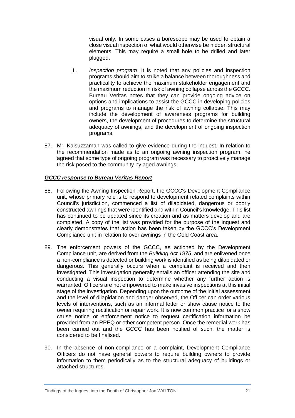visual only. In some cases a borescope may be used to obtain a close visual inspection of what would otherwise be hidden structural elements. This may require a small hole to be drilled and later plugged.

- III. *Inspection program:* It is noted that any policies and inspection programs should aim to strike a balance between thoroughness and practicality to achieve the maximum stakeholder engagement and the maximum reduction in risk of awning collapse across the GCCC. Bureau Veritas notes that they can provide ongoing advice on options and implications to assist the GCCC in developing policies and programs to manage the risk of awning collapse. This may include the development of awareness programs for building owners, the development of procedures to determine the structural adequacy of awnings, and the development of ongoing inspection programs.
- 87. Mr. Kaisuzzaman was called to give evidence during the inquest. In relation to the recommendation made as to an ongoing awning inspection program, he agreed that some type of ongoing program was necessary to proactively manage the risk posed to the community by aged awnings.

#### <span id="page-23-0"></span>*GCCC response to Bureau Veritas Report*

- 88. Following the Awning Inspection Report, the GCCC's Development Compliance unit, whose primary role is to respond to development related complaints within Council's jurisdiction, commenced a list of dilapidated, dangerous or poorly constructed awnings that were identified and within Council's knowledge. This list has continued to be updated since its creation and as matters develop and are completed. A copy of the list was provided for the purpose of the inquest and clearly demonstrates that action has been taken by the GCCC's Development Compliance unit in relation to over awnings in the Gold Coast area.
- 89. The enforcement powers of the GCCC, as actioned by the Development Compliance unit, are derived from the *Building Act 1975*, and are enlivened once a non-compliance is detected or building work is identified as being dilapidated or dangerous. This generally occurs when a complaint is received and then investigated. This investigation generally entails an officer attending the site and conducting a visual inspection to determine whether any further action is warranted. Officers are not empowered to make invasive inspections at this initial stage of the investigation. Depending upon the outcome of the initial assessment and the level of dilapidation and danger observed, the Officer can order various levels of interventions, such as an informal letter or show cause notice to the owner requiring rectification or repair work. It is now common practice for a show cause notice or enforcement notice to request certification information be provided from an RPEQ or other competent person. Once the remedial work has been carried out and the GCCC has been notified of such, the matter is considered to be finalised.
- 90. In the absence of non-compliance or a complaint, Development Compliance Officers do not have general powers to require building owners to provide information to them periodically as to the structural adequacy of buildings or attached structures.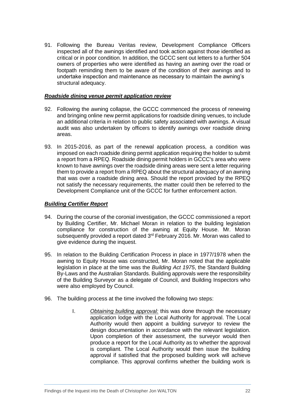91. Following the Bureau Veritas review, Development Compliance Officers inspected all of the awnings identified and took action against those identified as critical or in poor condition. In addition, the GCCC sent out letters to a further 504 owners of properties who were identified as having an awning over the road or footpath reminding them to be aware of the condition of their awnings and to undertake inspection and maintenance as necessary to maintain the awning's structural adequacy.

#### <span id="page-24-0"></span>*Roadside dining venue permit application review*

- 92. Following the awning collapse, the GCCC commenced the process of renewing and bringing online new permit applications for roadside dining venues, to include an additional criteria in relation to public safety associated with awnings. A visual audit was also undertaken by officers to identify awnings over roadside dining areas.
- 93. In 2015-2016, as part of the renewal application process, a condition was imposed on each roadside dining permit application requiring the holder to submit a report from a RPEQ. Roadside dining permit holders in GCCC's area who were known to have awnings over the roadside dining areas were sent a letter requiring them to provide a report from a RPEQ about the structural adequacy of an awning that was over a roadside dining area. Should the report provided by the RPEQ not satisfy the necessary requirements, the matter could then be referred to the Development Compliance unit of the GCCC for further enforcement action.

## <span id="page-24-1"></span>*Building Certifier Report*

- 94. During the course of the coronial investigation, the GCCC commissioned a report by Building Certifier, Mr. Michael Moran in relation to the building legislation compliance for construction of the awning at Equity House. Mr. Moran subsequently provided a report dated 3<sup>rd</sup> February 2016. Mr. Moran was called to give evidence during the inquest.
- 95. In relation to the Building Certification Process in place in 1977/1978 when the awning to Equity House was constructed, Mr. Moran noted that the applicable legislation in place at the time was the *Building Act 1975*, the Standard Building By-Laws and the Australian Standards. Building approvals were the responsibility of the Building Surveyor as a delegate of Council, and Building Inspectors who were also employed by Council.
- 96. The building process at the time involved the following two steps:
	- I. *Obtaining building approval:* this was done through the necessary application lodge with the Local Authority for approval. The Local Authority would then appoint a building surveyor to review the design documentation in accordance with the relevant legislation. Upon completion of their assessment, the surveyor would then produce a report for the Local Authority as to whether the approval is compliant. The Local Authority would then issue the building approval if satisfied that the proposed building work will achieve compliance. This approval confirms whether the building work is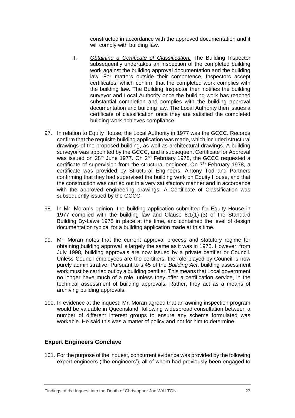constructed in accordance with the approved documentation and it will comply with building law.

- II. *Obtaining a Certificate of Classification:* The Building Inspector subsequently undertakes an inspection of the completed building work against the building approval documentation and the building law. For matters outside their competence, Inspectors accept certificates, which confirm that the completed work complies with the building law. The Building Inspector then notifies the building surveyor and Local Authority once the building work has reached substantial completion and complies with the building approval documentation and building law. The Local Authority then issues a certificate of classification once they are satisfied the completed building work achieves compliance.
- 97. In relation to Equity House, the Local Authority in 1977 was the GCCC. Records confirm that the requisite building application was made, which included structural drawings of the proposed building, as well as architectural drawings. A building surveyor was appointed by the GCCC, and a subsequent Certificate for Approval was issued on  $28<sup>th</sup>$  June 1977. On  $2<sup>nd</sup>$  February 1978, the GCCC requested a certificate of supervision from the structural engineer. On  $7<sup>th</sup>$  February 1978, a certificate was provided by Structural Engineers, Antony Tod and Partners confirming that they had supervised the building work on Equity House, and that the construction was carried out in a very satisfactory manner and in accordance with the approved engineering drawings. A Certificate of Classification was subsequently issued by the GCCC.
- 98. In Mr. Moran's opinion, the building application submitted for Equity House in 1977 complied with the building law and Clause 8.1(1)-(3) of the Standard Building By-Laws 1975 in place at the time, and contained the level of design documentation typical for a building application made at this time.
- 99. Mr. Moran notes that the current approval process and statutory regime for obtaining building approval is largely the same as it was in 1975. However, from July 1998, building approvals are now issued by a private certifier or Council. Unless Council employees are the certifiers, the role played by Council is now purely administrative. Pursuant to s.45 of the *Building Act*, building assessment work must be carried out by a building certifier. This means that Local government no longer have much of a role, unless they offer a certification service, in the technical assessment of building approvals. Rather, they act as a means of archiving building approvals.
- 100. In evidence at the inquest, Mr. Moran agreed that an awning inspection program would be valuable in Queensland, following widespread consultation between a number of different interest groups to ensure any scheme formulated was workable. He said this was a matter of policy and not for him to determine.

# <span id="page-25-0"></span>**Expert Engineers Conclave**

101. For the purpose of the inquest, concurrent evidence was provided by the following expert engineers ('the engineers'), all of whom had previously been engaged to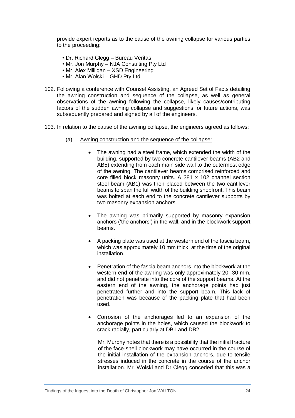provide expert reports as to the cause of the awning collapse for various parties to the proceeding:

- Dr. Richard Clegg Bureau Veritas
- Mr. Jon Murphy NJA Consulting Pty Ltd
- Mr. Alex Milligan XSD Engineering
- Mr. Alan Wolski GHD Pty Ltd
- 102. Following a conference with Counsel Assisting, an Agreed Set of Facts detailing the awning construction and sequence of the collapse, as well as general observations of the awning following the collapse, likely causes/contributing factors of the sudden awning collapse and suggestions for future actions, was subsequently prepared and signed by all of the engineers.
- 103. In relation to the cause of the awning collapse, the engineers agreed as follows:
	- (a) Awning construction and the sequence of the collapse:
		- The awning had a steel frame, which extended the width of the building, supported by two concrete cantilever beams (AB2 and AB5) extending from each main side wall to the outermost edge of the awning. The cantilever beams comprised reinforced and core filled block masonry units. A 381 x 102 channel section steel beam (AB1) was then placed between the two cantilever beams to span the full width of the building shopfront. This beam was bolted at each end to the concrete cantilever supports by two masonry expansion anchors.
		- The awning was primarily supported by masonry expansion anchors ('the anchors') in the wall, and in the blockwork support beams.
		- A packing plate was used at the western end of the fascia beam, which was approximately 10 mm thick, at the time of the original installation.
		- Penetration of the fascia beam anchors into the blockwork at the western end of the awning was only approximately 20 -30 mm, and did not penetrate into the core of the support beams. At the eastern end of the awning, the anchorage points had just penetrated further and into the support beam. This lack of penetration was because of the packing plate that had been used.
		- Corrosion of the anchorages led to an expansion of the anchorage points in the holes, which caused the blockwork to crack radially, particularly at DB1 and DB2.

Mr. Murphy notes that there is a possibility that the initial fracture of the face-shell blockwork may have occurred in the course of the initial installation of the expansion anchors, due to tensile stresses induced in the concrete in the course of the anchor installation. Mr. Wolski and Dr Clegg conceded that this was a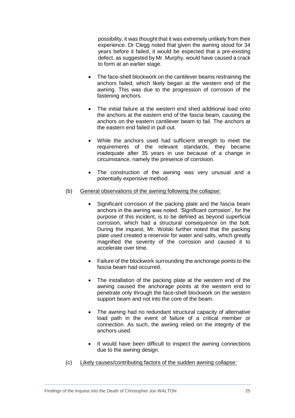possibility, it was thought that it was extremely unlikely from their experience. Dr Clegg noted that given the awning stood for 34 years before it failed, it would be expected that a pre-existing defect, as suggested by Mr. Murphy, would have caused a crack to form at an earlier stage.

- The face-shell blockwork on the cantilever beams restraining the anchors failed, which likely began at the western end of the awning. This was due to the progression of corrosion of the fastening anchors.
- The initial failure at the western end shed additional load onto the anchors at the eastern end of the fascia beam, causing the anchors on the eastern cantilever beam to fail. The anchors at the eastern end failed in pull out.
- While the anchors used had sufficient strength to meet the requirements of the relevant standards, they became inadequate after 35 years in use because of a change in circumstance, namely the presence of corrosion.
- The construction of the awning was very unusual and a potentially expensive method.
- (b) General observations of the awning following the collapse:
	- Significant corrosion of the packing plate and the fascia beam anchors in the awning was noted. 'Significant corrosion', for the purpose of this incident, is to be defined as beyond superficial corrosion, which had a structural consequence on the bolt. During the inquest, Mr. Wolski further noted that the packing plate used created a reservoir for water and salts, which greatly magnified the severity of the corrosion and caused it to accelerate over time.
	- Failure of the blockwork surrounding the anchorage points to the fascia beam had occurred.
	- The installation of the packing plate at the western end of the awning caused the anchorage points at the western end to penetrate only through the face-shell blockwork on the western support beam and not into the core of the beam.
	- The awning had no redundant structural capacity of alternative load path in the event of failure of a critical member or connection. As such, the awning relied on the integrity of the anchors used.
	- It would have been difficult to inspect the awning connections due to the awning design.
- (c) Likely causes/contributing factors of the sudden awning collapse: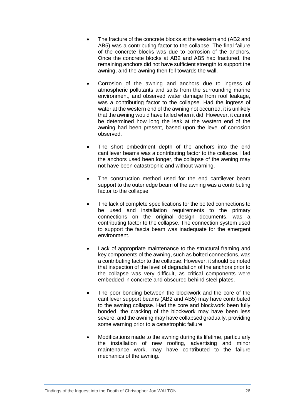- The fracture of the concrete blocks at the western end (AB2 and AB5) was a contributing factor to the collapse. The final failure of the concrete blocks was due to corrosion of the anchors. Once the concrete blocks at AB2 and AB5 had fractured, the remaining anchors did not have sufficient strength to support the awning, and the awning then fell towards the wall.
- Corrosion of the awning and anchors due to ingress of atmospheric pollutants and salts from the surrounding marine environment, and observed water damage from roof leakage, was a contributing factor to the collapse. Had the ingress of water at the western end of the awning not occurred, it is unlikely that the awning would have failed when it did. However, it cannot be determined how long the leak at the western end of the awning had been present, based upon the level of corrosion observed.
- The short embedment depth of the anchors into the end cantilever beams was a contributing factor to the collapse. Had the anchors used been longer, the collapse of the awning may not have been catastrophic and without warning.
- The construction method used for the end cantilever beam support to the outer edge beam of the awning was a contributing factor to the collapse.
- The lack of complete specifications for the bolted connections to be used and installation requirements to the primary connections on the original design documents, was a contributing factor to the collapse. The connection system used to support the fascia beam was inadequate for the emergent environment.
- Lack of appropriate maintenance to the structural framing and key components of the awning, such as bolted connections, was a contributing factor to the collapse. However, it should be noted that inspection of the level of degradation of the anchors prior to the collapse was very difficult, as critical components were embedded in concrete and obscured behind steel plates.
- The poor bonding between the blockwork and the core of the cantilever support beams (AB2 and AB5) may have contributed to the awning collapse. Had the core and blockwork been fully bonded, the cracking of the blockwork may have been less severe, and the awning may have collapsed gradually, providing some warning prior to a catastrophic failure.
- Modifications made to the awning during its lifetime, particularly the installation of new roofing, advertising and minor maintenance work, may have contributed to the failure mechanics of the awning.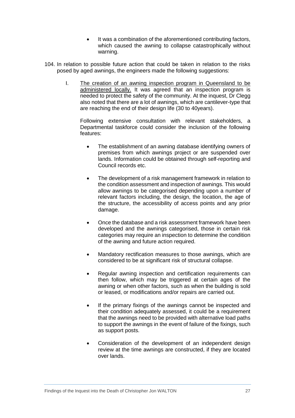- It was a combination of the aforementioned contributing factors, which caused the awning to collapse catastrophically without warning.
- 104. In relation to possible future action that could be taken in relation to the risks posed by aged awnings, the engineers made the following suggestions:
	- I. The creation of an awning inspection program in Queensland to be administered locally. It was agreed that an inspection program is needed to protect the safety of the community. At the inquest, Dr Clegg also noted that there are a lot of awnings, which are cantilever-type that are reaching the end of their design life (30 to 40years).

Following extensive consultation with relevant stakeholders, a Departmental taskforce could consider the inclusion of the following features:

- The establishment of an awning database identifying owners of premises from which awnings project or are suspended over lands. Information could be obtained through self-reporting and Council records etc.
- The development of a risk management framework in relation to the condition assessment and inspection of awnings. This would allow awnings to be categorised depending upon a number of relevant factors including, the design, the location, the age of the structure, the accessibility of access points and any prior damage.
- Once the database and a risk assessment framework have been developed and the awnings categorised, those in certain risk categories may require an inspection to determine the condition of the awning and future action required.
- Mandatory rectification measures to those awnings, which are considered to be at significant risk of structural collapse.
- Regular awning inspection and certification requirements can then follow, which may be triggered at certain ages of the awning or when other factors, such as when the building is sold or leased, or modifications and/or repairs are carried out.
- If the primary fixings of the awnings cannot be inspected and their condition adequately assessed, it could be a requirement that the awnings need to be provided with alternative load paths to support the awnings in the event of failure of the fixings, such as support posts.
- Consideration of the development of an independent design review at the time awnings are constructed, if they are located over lands.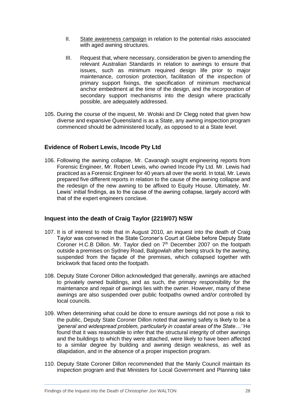- II. State awareness campaign in relation to the potential risks associated with aged awning structures.
- III. Request that, where necessary, consideration be given to amending the relevant Australian Standards in relation to awnings to ensure that issues, such as minimum required design life prior to major maintenance, corrosion protection, facilitation of the inspection of primary support fixings, the specification of minimum mechanical anchor embedment at the time of the design, and the incorporation of secondary support mechanisms into the design where practically possible, are adequately addressed.
- 105. During the course of the inquest, Mr. Wolski and Dr Clegg noted that given how diverse and expansive Queensland is as a State, any awning inspection program commenced should be administered locally, as opposed to at a State level.

# <span id="page-30-0"></span>**Evidence of Robert Lewis, Incode Pty Ltd**

106. Following the awning collapse, Mr. Cavanagh sought engineering reports from Forensic Engineer, Mr. Robert Lewis, who owned Incode Pty Ltd. Mr. Lewis had practiced as a Forensic Engineer for 40 years all over the world. In total, Mr. Lewis prepared five different reports in relation to the cause of the awning collapse and the redesign of the new awning to be affixed to Equity House. Ultimately, Mr. Lewis' initial findings, as to the cause of the awning collapse, largely accord with that of the expert engineers conclave.

# <span id="page-30-1"></span>**Inquest into the death of Craig Taylor (2219/07) NSW**

- 107. It is of interest to note that in August 2010, an inquest into the death of Craig Taylor was convened in the State Coroner's Court at Glebe before Deputy State Coroner H.C.B Dillon. Mr. Taylor died on  $7<sup>th</sup>$  December 2007 on the footpath outside a premises on Sydney Road, Balgowlah after being struck by the awning, suspended from the façade of the premises, which collapsed together with brickwork that faced onto the footpath.
- 108. Deputy State Coroner Dillon acknowledged that generally, awnings are attached to privately owned buildings, and as such, the primary responsibility for the maintenance and repair of awnings lies with the owner. However, many of these awnings are also suspended over public footpaths owned and/or controlled by local councils.
- 109. When determining what could be done to ensure awnings did not pose a risk to the public, Deputy State Coroner Dillon noted that awning safety is likely to be a *'general and widespread problem, particularly in coastal areas of the State…'* He found that it was reasonable to infer that the structural integrity of other awnings and the buildings to which they were attached, were likely to have been affected to a similar degree by building and awning design weakness, as well as dilapidation, and in the absence of a proper inspection program.
- 110. Deputy State Coroner Dillon recommended that the Manly Council maintain its inspection program and that Ministers for Local Government and Planning take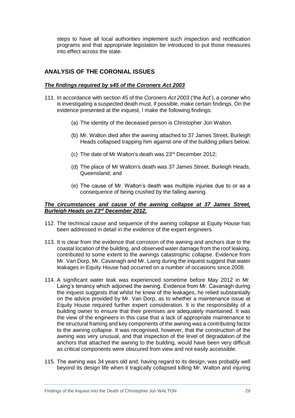steps to have all local authorities implement such inspection and rectification programs and that appropriate legislation be introduced to put those measures into effect across the state.

# <span id="page-31-0"></span>**ANALYSIS OF THE CORONIAL ISSUES**

#### <span id="page-31-1"></span>*The findings required by s45 of the Coroners Act 2003*

- 111. In accordance with section 45 of the *Coroners Act 2003* ('the Act'), a coroner who is investigating a suspected death must, if possible, make certain findings. On the evidence presented at the inquest, I make the following findings:
	- (a) The identity of the deceased person is Christopher Jon Walton.
	- (b) Mr. Walton died after the awning attached to 37 James Street, Burleigh Heads collapsed trapping him against one of the building pillars below;
	- (c) The date of Mr Walton's death was 23rd December 2012;
	- (d) The place of Mr Walton's death was 37 James Street, Burleigh Heads, Queensland; and
	- (e) The cause of Mr. Walton's death was multiple injuries due to or as a consequence of being crushed by the falling awning.

#### <span id="page-31-2"></span>*The circumstances and cause of the awning collapse at 37 James Street, Burleigh Heads on 23rd December 2012.*

- 112. The technical cause and sequence of the awning collapse at Equity House has been addressed in detail in the evidence of the expert engineers.
- 113. It is clear from the evidence that corrosion of the awning and anchors due to the coastal location of the building, and observed water damage from the roof leaking, contributed to some extent to the awnings catastrophic collapse. Evidence from Mr. Van Dorp, Mr. Cavanagh and Mr. Laing during the inquest suggest that water leakages in Equity House had occurred on a number of occasions since 2008.
- 114. A significant water leak was experienced sometime before May 2012 in Mr. Laing's tenancy which adjoined the awning. Evidence from Mr. Cavanagh during the inquest suggests that whilst he knew of the leakages, he relied substantially on the advice provided by Mr. Van Dorp, as to whether a maintenance issue at Equity House required further expert consideration. It is the responsibility of a building owner to ensure that their premises are adequately maintained. It was the view of the engineers in this case that a lack of appropriate maintenance to the structural framing and key components of the awning was a contributing factor to the awning collapse. It was recognised, however, that the construction of the awning was very unusual, and that inspection of the level of degradation of the anchors that attached the awning to the building, would have been very difficult as critical components were obscured from view and not easily accessible.
- 115. The awning was 34 years old and, having regard to its design, was probably well beyond its design life when it tragically collapsed killing Mr. Walton and injuring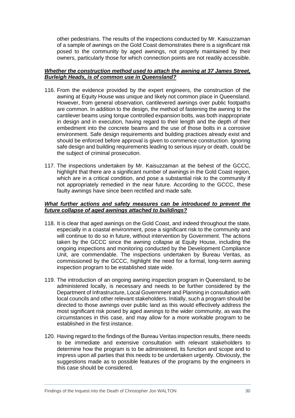other pedestrians. The results of the inspections conducted by Mr. Kaisuzzaman of a sample of awnings on the Gold Coast demonstrates there is a significant risk posed to the community by aged awnings, not properly maintained by their owners, particularly those for which connection points are not readily accessible.

#### <span id="page-32-0"></span>*Whether the construction method used to attach the awning at 37 James Street, Burleigh Heads, is of common use in Queensland?*

- 116. From the evidence provided by the expert engineers, the construction of the awning at Equity House was unique and likely not common place in Queensland. However, from general observation, cantilevered awnings over public footpaths are common. In addition to the design, the method of fastening the awning to the cantilever beams using torque controlled expansion bolts, was both inappropriate in design and in execution, having regard to their length and the depth of their embedment into the concrete beams and the use of those bolts in a corrosive environment. Safe design requirements and building practices already exist and should be enforced before approval is given to commence construction. Ignoring safe design and building requirements leading to serious injury or death, could be the subject of criminal prosecution.
- 117. The inspections undertaken by Mr. Kaisuzzaman at the behest of the GCCC, highlight that there are a significant number of awnings in the Gold Coast region, which are in a critical condition, and pose a substantial risk to the community if not appropriately remedied in the near future. According to the GCCC, these faulty awnings have since been rectified and made safe.

#### *What further actions and safety measures can be introduced to prevent the future collapse of aged awnings attached to buildings?*

- 118. It is clear that aged awnings on the Gold Coast, and indeed throughout the state, especially in a coastal environment, pose a significant risk to the community and will continue to do so in future, without intervention by Government. The actions taken by the GCCC since the awning collapse at Equity House, including the ongoing inspections and monitoring conducted by the Development Compliance Unit, are commendable. The inspections undertaken by Bureau Veritas, as commissioned by the GCCC, highlight the need for a formal, long-term awning inspection program to be established state wide.
- 119. The introduction of an ongoing awning inspection program in Queensland, to be administered locally, is necessary and needs to be further considered by the Department of Infrastructure, Local Government and Planning in consultation with local councils and other relevant stakeholders. Initially, such a program should be directed to those awnings over public land as this would effectively address the most significant risk posed by aged awnings to the wider community, as was the circumstances in this case, and may allow for a more workable program to be established in the first instance.
- 120. Having regard to the findings of the Bureau Veritas inspection results, there needs to be immediate and extensive consultation with relevant stakeholders to determine how the program is to be administered, its function and scope and to impress upon all parties that this needs to be undertaken urgently. Obviously, the suggestions made as to possible features of the programs by the engineers in this case should be considered.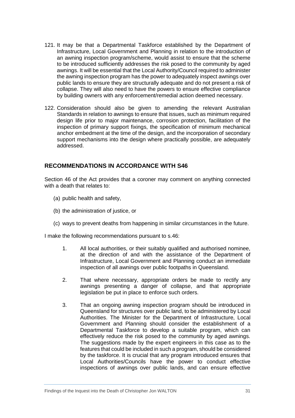- 121. It may be that a Departmental Taskforce established by the Department of Infrastructure, Local Government and Planning in relation to the introduction of an awning inspection program/scheme, would assist to ensure that the scheme to be introduced sufficiently addresses the risk posed to the community by aged awnings. It will be essential that the Local Authority/Council required to administer the awning inspection program has the power to adequately inspect awnings over public lands to ensure they are structurally adequate and do not present a risk of collapse. They will also need to have the powers to ensure effective compliance by building owners with any enforcement/remedial action deemed necessary.
- 122. Consideration should also be given to amending the relevant Australian Standards in relation to awnings to ensure that issues, such as minimum required design life prior to major maintenance, corrosion protection, facilitation of the inspection of primary support fixings, the specification of minimum mechanical anchor embedment at the time of the design, and the incorporation of secondary support mechanisms into the design where practically possible, are adequately addressed.

# <span id="page-33-0"></span>**RECOMMENDATIONS IN ACCORDANCE WITH S46**

Section 46 of the Act provides that a coroner may comment on anything connected with a death that relates to:

- (a) public health and safety,
- (b) the administration of justice, or
- (c) ways to prevent deaths from happening in similar circumstances in the future.

I make the following recommendations pursuant to s.46:

- 1. All local authorities, or their suitably qualified and authorised nominee, at the direction of and with the assistance of the Department of Infrastructure, Local Government and Planning conduct an immediate inspection of all awnings over public footpaths in Queensland.
- 2. That where necessary, appropriate orders be made to rectify any awnings presenting a danger of collapse, and that appropriate legislation be put in place to enforce such orders.
- 3. That an ongoing awning inspection program should be introduced in Queensland for structures over public land, to be administered by Local Authorities. The Minister for the Department of Infrastructure, Local Government and Planning should consider the establishment of a Departmental Taskforce to develop a suitable program, which can effectively reduce the risk posed to the community by aged awnings. The suggestions made by the expert engineers in this case as to the features that could be included in such a program, should be considered by the taskforce. It is crucial that any program introduced ensures that Local Authorities/Councils have the power to conduct effective inspections of awnings over public lands, and can ensure effective